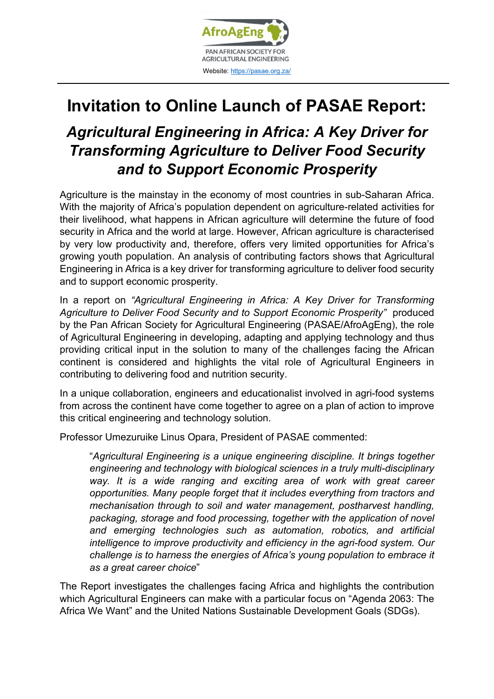

## **Invitation to Online Launch of PASAE Report:**

## *Agricultural Engineering in Africa: A Key Driver for Transforming Agriculture to Deliver Food Security and to Support Economic Prosperity*

Agriculture is the mainstay in the economy of most countries in sub-Saharan Africa. With the majority of Africa's population dependent on agriculture-related activities for their livelihood, what happens in African agriculture will determine the future of food security in Africa and the world at large. However, African agriculture is characterised by very low productivity and, therefore, offers very limited opportunities for Africa's growing youth population. An analysis of contributing factors shows that Agricultural Engineering in Africa is a key driver for transforming agriculture to deliver food security and to support economic prosperity.

In a report on *"Agricultural Engineering in Africa: A Key Driver for Transforming Agriculture to Deliver Food Security and to Support Economic Prosperity"* produced by the Pan African Society for Agricultural Engineering (PASAE/AfroAgEng), the role of Agricultural Engineering in developing, adapting and applying technology and thus providing critical input in the solution to many of the challenges facing the African continent is considered and highlights the vital role of Agricultural Engineers in contributing to delivering food and nutrition security.

In a unique collaboration, engineers and educationalist involved in agri-food systems from across the continent have come together to agree on a plan of action to improve this critical engineering and technology solution.

Professor Umezuruike Linus Opara, President of PASAE commented:

"*Agricultural Engineering is a unique engineering discipline. It brings together engineering and technology with biological sciences in a truly multi-disciplinary*  way. It is a wide ranging and exciting area of work with great career *opportunities. Many people forget that it includes everything from tractors and mechanisation through to soil and water management, postharvest handling, packaging, storage and food processing, together with the application of novel and emerging technologies such as automation, robotics, and artificial intelligence to improve productivity and efficiency in the agri-food system. Our challenge is to harness the energies of Africa's young population to embrace it as a great career choice*"

The Report investigates the challenges facing Africa and highlights the contribution which Agricultural Engineers can make with a particular focus on "Agenda 2063: The Africa We Want" and the United Nations Sustainable Development Goals (SDGs).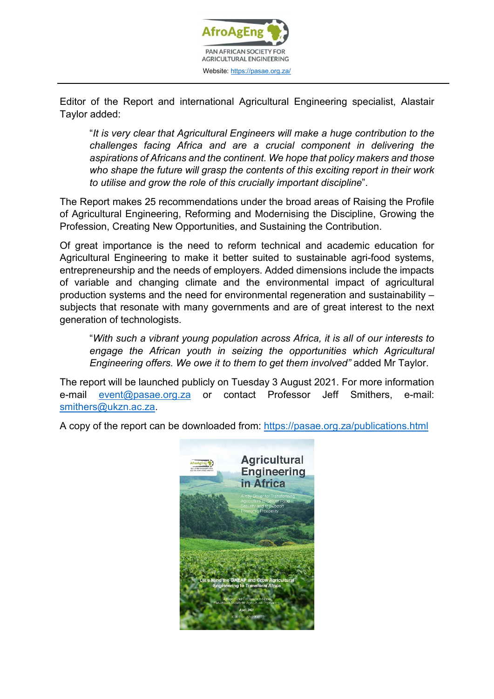

Editor of the Report and international Agricultural Engineering specialist, Alastair Taylor added:

"*It is very clear that Agricultural Engineers will make a huge contribution to the challenges facing Africa and are a crucial component in delivering the aspirations of Africans and the continent. We hope that policy makers and those who shape the future will grasp the contents of this exciting report in their work to utilise and grow the role of this crucially important discipline*".

The Report makes 25 recommendations under the broad areas of Raising the Profile of Agricultural Engineering, Reforming and Modernising the Discipline, Growing the Profession, Creating New Opportunities, and Sustaining the Contribution.

Of great importance is the need to reform technical and academic education for Agricultural Engineering to make it better suited to sustainable agri-food systems, entrepreneurship and the needs of employers. Added dimensions include the impacts of variable and changing climate and the environmental impact of agricultural production systems and the need for environmental regeneration and sustainability – subjects that resonate with many governments and are of great interest to the next generation of technologists.

"*With such a vibrant young population across Africa, it is all of our interests to engage the African youth in seizing the opportunities which Agricultural Engineering offers. We owe it to them to get them involved"* added Mr Taylor.

The report will be launched publicly on Tuesday 3 August 2021. For more information e-mail [event@pasae.org.za](mailto:event@pasae.org.za) or contact Professor Jeff Smithers, e-mail: [smithers@ukzn.ac.za.](mailto:smithers@ukzn.ac.za)

A copy of the report can be downloaded from:<https://pasae.org.za/publications.html>

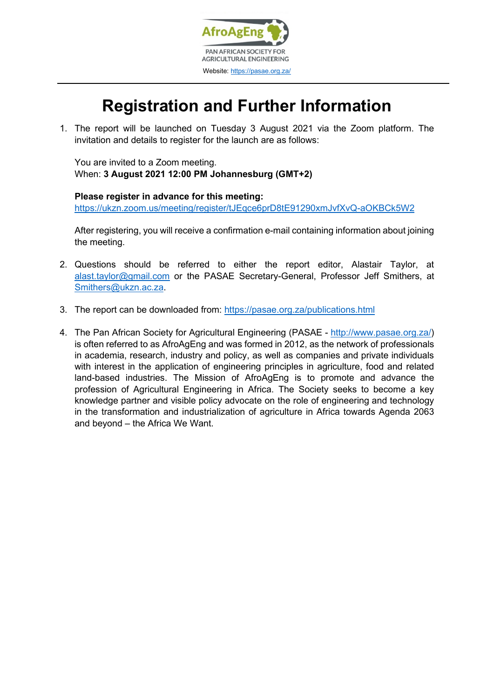

## **Registration and Further Information**

1. The report will be launched on Tuesday 3 August 2021 via the Zoom platform. The invitation and details to register for the launch are as follows:

You are invited to a Zoom meeting. When: **3 August 2021 12:00 PM Johannesburg (GMT+2)**

**Please register in advance for this meeting:** <https://ukzn.zoom.us/meeting/register/tJEqce6prD8tE91290xmJvfXvQ-aOKBCk5W2>

After registering, you will receive a confirmation e-mail containing information about joining the meeting.

- 2. Questions should be referred to either the report editor, Alastair Taylor, at [alast.taylor@gmail.com](mailto:alast.taylor@gmail.com) or the PASAE Secretary-General, Professor Jeff Smithers, at [Smithers@ukzn.ac.za.](mailto:Smithers@ukzn.ac.za)
- 3. The report can be downloaded from:<https://pasae.org.za/publications.html>
- 4. The Pan African Society for Agricultural Engineering (PASAE [http://www.pasae.org.za/\)](http://www.pasae.org.za/) is often referred to as AfroAgEng and was formed in 2012, as the network of professionals in academia, research, industry and policy, as well as companies and private individuals with interest in the application of engineering principles in agriculture, food and related land-based industries. The Mission of AfroAgEng is to promote and advance the profession of Agricultural Engineering in Africa. The Society seeks to become a key knowledge partner and visible policy advocate on the role of engineering and technology in the transformation and industrialization of agriculture in Africa towards Agenda 2063 and beyond – the Africa We Want.